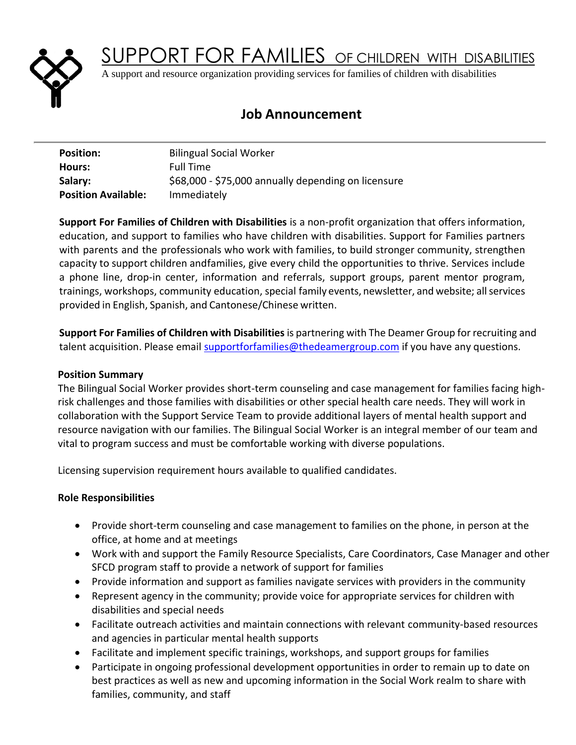

SUPPORT FOR FAMILIES OF CHILDREN WITH DISABILITIES

A support and resource organization providing services for families of children with disabilities

# **Job Announcement**

| <b>Position:</b>           | <b>Bilingual Social Worker</b>                      |
|----------------------------|-----------------------------------------------------|
| Hours:                     | <b>Full Time</b>                                    |
| Salary:                    | \$68,000 - \$75,000 annually depending on licensure |
| <b>Position Available:</b> | Immediately                                         |

**Support For Families of Children with Disabilities** is a non-profit organization that offers information, education, and support to families who have children with disabilities. Support for Families partners with parents and the professionals who work with families, to build stronger community, strengthen capacity to support children andfamilies, give every child the opportunities to thrive. Services include a phone line, drop-in center, information and referrals, support groups, parent mentor program, trainings, workshops, community education, special family events, newsletter, and website; allservices provided in English, Spanish, and Cantonese/Chinese written.

**Support For Families of Children with Disabilities** is partnering with The Deamer Group for recruiting and talent acquisition. Please email supportforfamilies@thedeamergroup.com if you have any questions.

# **Position Summary**

The Bilingual Social Worker provides short-term counseling and case management for families facing highrisk challenges and those families with disabilities or other special health care needs. They will work in collaboration with the Support Service Team to provide additional layers of mental health support and resource navigation with our families. The Bilingual Social Worker is an integral member of our team and vital to program success and must be comfortable working with diverse populations.

Licensing supervision requirement hours available to qualified candidates.

#### **Role Responsibilities**

- Provide short-term counseling and case management to families on the phone, in person at the office, at home and at meetings
- Work with and support the Family Resource Specialists, Care Coordinators, Case Manager and other SFCD program staff to provide a network of support for families
- Provide information and support as families navigate services with providers in the community
- Represent agency in the community; provide voice for appropriate services for children with disabilities and special needs
- Facilitate outreach activities and maintain connections with relevant community-based resources and agencies in particular mental health supports
- Facilitate and implement specific trainings, workshops, and support groups for families
- Participate in ongoing professional development opportunities in order to remain up to date on best practices as well as new and upcoming information in the Social Work realm to share with families, community, and staff